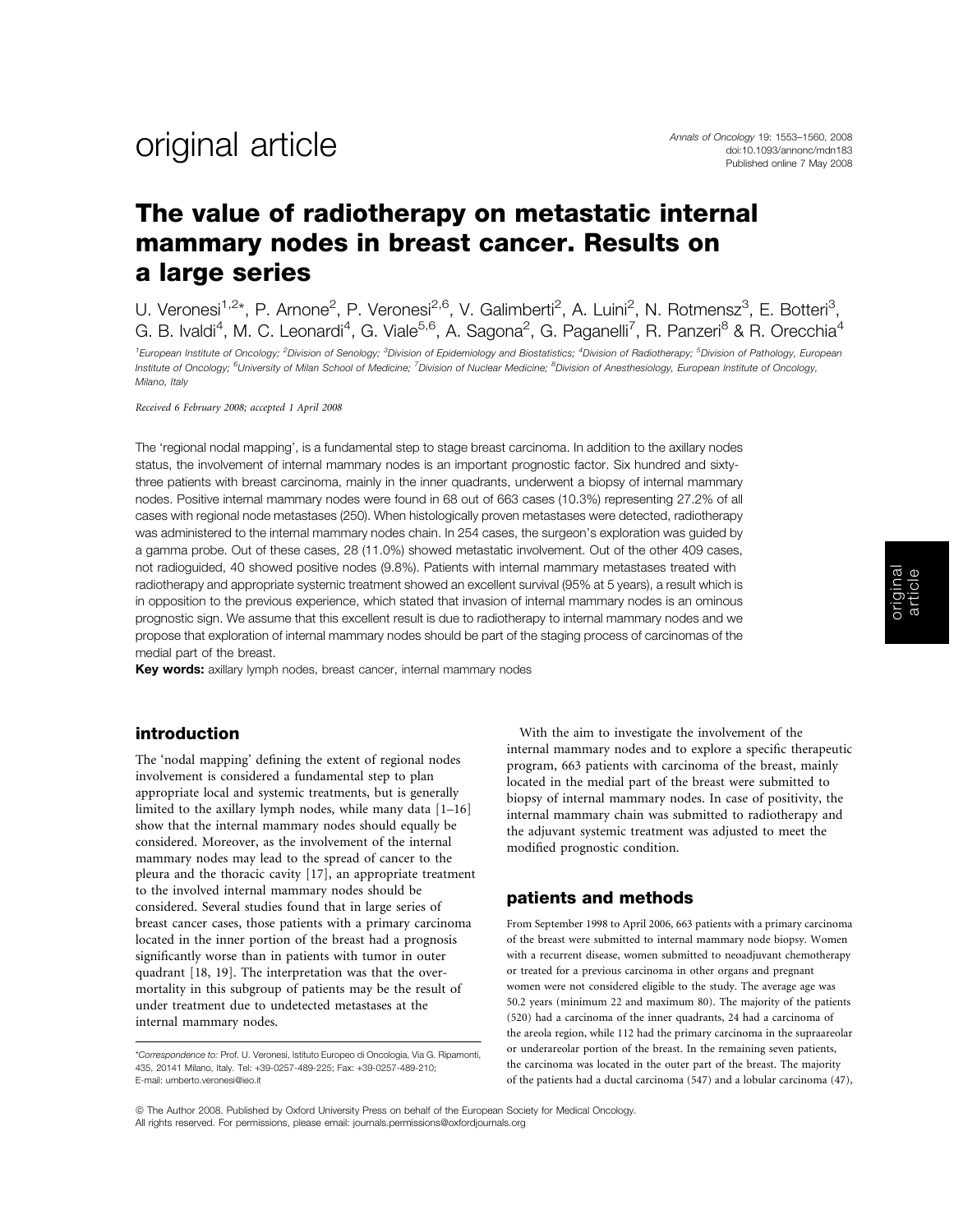## The value of radiotherapy on metastatic internal mammary nodes in breast cancer. Results on a large series

U. Veronesi<sup>1,2\*</sup>, P. Arnone<sup>2</sup>, P. Veronesi<sup>2,6</sup>, V. Galimberti<sup>2</sup>, A. Luini<sup>2</sup>, N. Rotmensz<sup>3</sup>, E. Botteri<sup>3</sup>, G. B. Ivaldi<sup>4</sup>, M. C. Leonardi<sup>4</sup>, G. Viale<sup>5,6</sup>, A. Sagona<sup>2</sup>, G. Paganelli<sup>7</sup>, R. Panzeri<sup>8</sup> & R. Orecchia<sup>4</sup>

<sup>1</sup>European Institute of Oncology; <sup>2</sup>Division of Senology; <sup>3</sup>Division of Epidemiology and Biostatistics; <sup>4</sup>Division of Radiotherapy; <sup>5</sup>Division of Pathology, European Institute of Oncology; <sup>6</sup>University of Milan School of Medicine; <sup>7</sup>Division of Nuclear Medicine; <sup>8</sup>Division of Anesthesiology, European Institute of Oncology, Milano, Italy

Received 6 February 2008; accepted 1 April 2008

The 'regional nodal mapping', is a fundamental step to stage breast carcinoma. In addition to the axillary nodes status, the involvement of internal mammary nodes is an important prognostic factor. Six hundred and sixtythree patients with breast carcinoma, mainly in the inner quadrants, underwent a biopsy of internal mammary nodes. Positive internal mammary nodes were found in 68 out of 663 cases (10.3%) representing 27.2% of all cases with regional node metastases (250). When histologically proven metastases were detected, radiotherapy was administered to the internal mammary nodes chain. In 254 cases, the surgeon's exploration was guided by a gamma probe. Out of these cases, 28 (11.0%) showed metastatic involvement. Out of the other 409 cases, not radioguided, 40 showed positive nodes (9.8%). Patients with internal mammary metastases treated with radiotherapy and appropriate systemic treatment showed an excellent survival (95% at 5 years), a result which is in opposition to the previous experience, which stated that invasion of internal mammary nodes is an ominous prognostic sign. We assume that this excellent result is due to radiotherapy to internal mammary nodes and we propose that exploration of internal mammary nodes should be part of the staging process of carcinomas of the medial part of the breast.

Key words: axillary lymph nodes, breast cancer, internal mammary nodes

### introduction

The 'nodal mapping' defining the extent of regional nodes involvement is considered a fundamental step to plan appropriate local and systemic treatments, but is generally limited to the axillary lymph nodes, while many data [1–16] show that the internal mammary nodes should equally be considered. Moreover, as the involvement of the internal mammary nodes may lead to the spread of cancer to the pleura and the thoracic cavity [17], an appropriate treatment to the involved internal mammary nodes should be considered. Several studies found that in large series of breast cancer cases, those patients with a primary carcinoma located in the inner portion of the breast had a prognosis significantly worse than in patients with tumor in outer quadrant [18, 19]. The interpretation was that the overmortality in this subgroup of patients may be the result of under treatment due to undetected metastases at the internal mammary nodes.

With the aim to investigate the involvement of the internal mammary nodes and to explore a specific therapeutic program, 663 patients with carcinoma of the breast, mainly located in the medial part of the breast were submitted to biopsy of internal mammary nodes. In case of positivity, the internal mammary chain was submitted to radiotherapy and the adjuvant systemic treatment was adjusted to meet the modified prognostic condition.

### patients and methods

From September 1998 to April 2006, 663 patients with a primary carcinoma of the breast were submitted to internal mammary node biopsy. Women with a recurrent disease, women submitted to neoadjuvant chemotherapy or treated for a previous carcinoma in other organs and pregnant women were not considered eligible to the study. The average age was 50.2 years (minimum 22 and maximum 80). The majority of the patients (520) had a carcinoma of the inner quadrants, 24 had a carcinoma of the areola region, while 112 had the primary carcinoma in the supraareolar or underareolar portion of the breast. In the remaining seven patients, the carcinoma was located in the outer part of the breast. The majority of the patients had a ductal carcinoma (547) and a lobular carcinoma (47),

<sup>\*</sup>Correspondence to: Prof. U. Veronesi, Istituto Europeo di Oncologia, Via G. Ripamonti, 435, 20141 Milano, Italy. Tel: +39-0257-489-225; Fax: +39-0257-489-210; E-mail: umberto.veronesi@ieo.it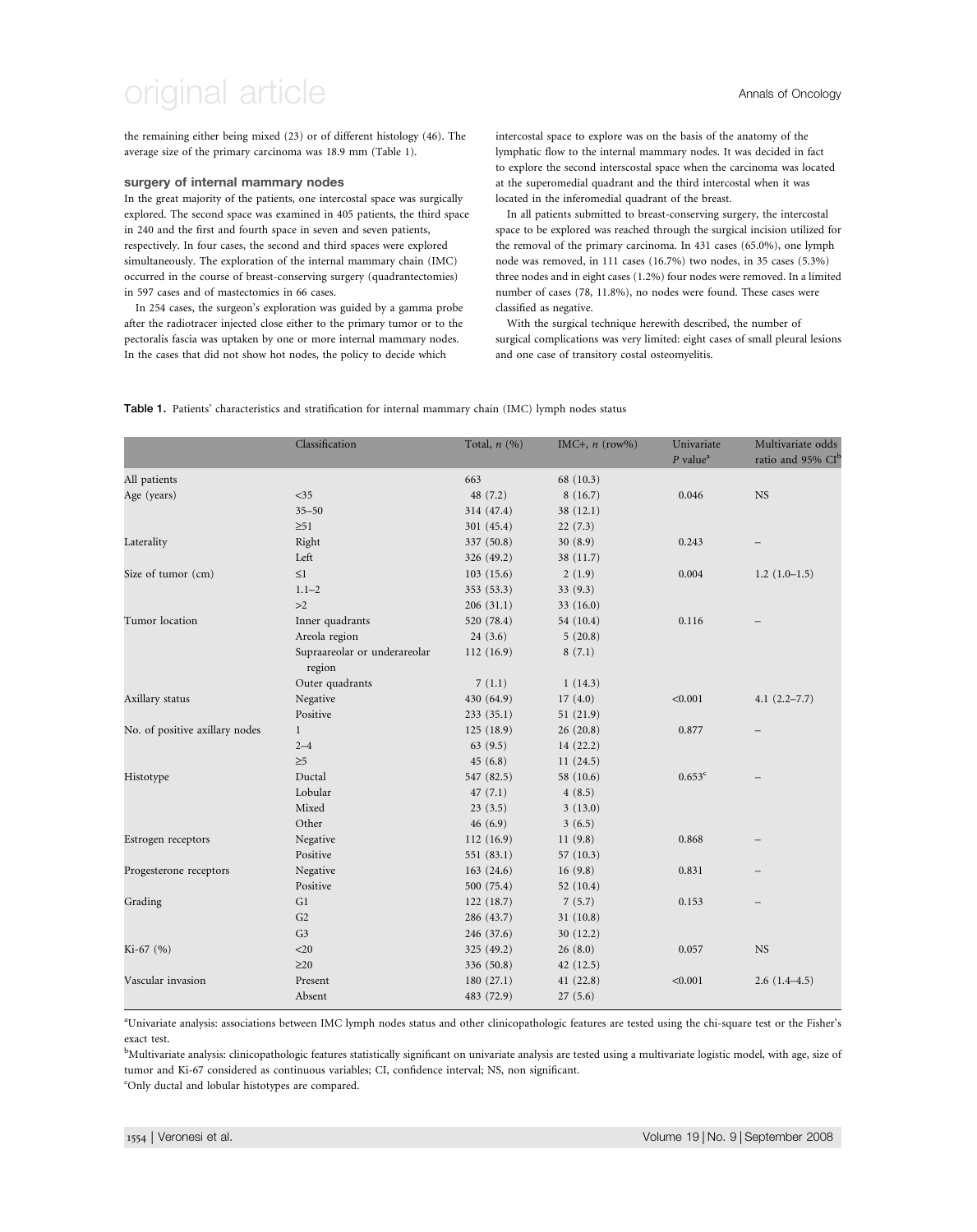the remaining either being mixed (23) or of different histology (46). The average size of the primary carcinoma was 18.9 mm (Table 1).

#### surgery of internal mammary nodes

In the great majority of the patients, one intercostal space was surgically explored. The second space was examined in 405 patients, the third space in 240 and the first and fourth space in seven and seven patients, respectively. In four cases, the second and third spaces were explored simultaneously. The exploration of the internal mammary chain (IMC) occurred in the course of breast-conserving surgery (quadrantectomies) in 597 cases and of mastectomies in 66 cases.

In 254 cases, the surgeon's exploration was guided by a gamma probe after the radiotracer injected close either to the primary tumor or to the pectoralis fascia was uptaken by one or more internal mammary nodes. In the cases that did not show hot nodes, the policy to decide which

intercostal space to explore was on the basis of the anatomy of the lymphatic flow to the internal mammary nodes. It was decided in fact to explore the second interscostal space when the carcinoma was located at the superomedial quadrant and the third intercostal when it was located in the inferomedial quadrant of the breast.

In all patients submitted to breast-conserving surgery, the intercostal space to be explored was reached through the surgical incision utilized for the removal of the primary carcinoma. In 431 cases (65.0%), one lymph node was removed, in 111 cases (16.7%) two nodes, in 35 cases (5.3%) three nodes and in eight cases (1.2%) four nodes were removed. In a limited number of cases (78, 11.8%), no nodes were found. These cases were classified as negative.

With the surgical technique herewith described, the number of surgical complications was very limited: eight cases of small pleural lesions and one case of transitory costal osteomyelitis.

#### Table 1. Patients' characteristics and stratification for internal mammary chain (IMC) lymph nodes status

|                                | Classification                         | Total, $n(%)$ | IMC+, $n \text{ (row%)}$ | Univariate<br>$P$ value <sup>a</sup> | Multivariate odds<br>ratio and 95% CI <sup>b</sup> |
|--------------------------------|----------------------------------------|---------------|--------------------------|--------------------------------------|----------------------------------------------------|
| All patients                   |                                        | 663           | 68 (10.3)                |                                      |                                                    |
| Age (years)                    | $<$ 35                                 | 48 (7.2)      | 8(16.7)                  | 0.046                                | <b>NS</b>                                          |
|                                | $35 - 50$                              | 314 (47.4)    | 38(12.1)                 |                                      |                                                    |
|                                | $\geq 51$                              | 301 (45.4)    | 22(7.3)                  |                                      |                                                    |
| Laterality                     | Right                                  | 337 (50.8)    | 30(8.9)                  | 0.243                                |                                                    |
|                                | Left                                   | 326 (49.2)    | 38 (11.7)                |                                      |                                                    |
| Size of tumor (cm)             | $\leq1$                                | 103(15.6)     | 2(1.9)                   | 0.004                                | $1.2(1.0-1.5)$                                     |
|                                | $1.1 - 2$                              | 353 (53.3)    | 33 (9.3)                 |                                      |                                                    |
|                                | >2                                     | 206(31.1)     | 33(16.0)                 |                                      |                                                    |
| Tumor location                 | Inner quadrants                        | 520 (78.4)    | 54 (10.4)                | 0.116                                |                                                    |
|                                | Areola region                          | 24(3.6)       | 5(20.8)                  |                                      |                                                    |
|                                | Supraareolar or underareolar<br>region | 112(16.9)     | 8(7.1)                   |                                      |                                                    |
|                                | Outer quadrants                        | 7(1.1)        | 1(14.3)                  |                                      |                                                    |
| Axillary status                | Negative                               | 430 (64.9)    | 17(4.0)                  | < 0.001                              | $4.1(2.2 - 7.7)$                                   |
|                                | Positive                               | 233(35.1)     | 51(21.9)                 |                                      |                                                    |
| No. of positive axillary nodes | $\mathbf{1}$                           | 125(18.9)     | 26(20.8)                 | 0.877                                |                                                    |
|                                | $2 - 4$                                | 63(9.5)       | 14(22.2)                 |                                      |                                                    |
|                                | $\geq 5$                               | 45(6.8)       | 11(24.5)                 |                                      |                                                    |
| Histotype                      | Ductal                                 | 547 (82.5)    | 58 (10.6)                | $0.653^{\circ}$                      |                                                    |
|                                | Lobular                                | 47(7.1)       | 4(8.5)                   |                                      |                                                    |
|                                | Mixed                                  | 23(3.5)       | 3(13.0)                  |                                      |                                                    |
|                                | Other                                  | 46(6.9)       | 3(6.5)                   |                                      |                                                    |
| Estrogen receptors             | Negative                               | 112(16.9)     | 11(9.8)                  | 0.868                                |                                                    |
|                                | Positive                               | 551 (83.1)    | 57 (10.3)                |                                      |                                                    |
| Progesterone receptors         | Negative                               | 163(24.6)     | 16(9.8)                  | 0.831                                |                                                    |
|                                | Positive                               | 500 (75.4)    | 52(10.4)                 |                                      |                                                    |
| Grading                        | G1                                     | 122(18.7)     | 7(5.7)                   | 0.153                                | $\overline{\phantom{0}}$                           |
|                                | G2                                     | 286 (43.7)    | 31(10.8)                 |                                      |                                                    |
|                                | G <sub>3</sub>                         | 246 (37.6)    | 30(12.2)                 |                                      |                                                    |
| Ki-67 (%)                      | $<$ 20                                 | 325 (49.2)    | 26(8.0)                  | 0.057                                | <b>NS</b>                                          |
|                                | $\geq$ 20                              | 336 (50.8)    | 42(12.5)                 |                                      |                                                    |
| Vascular invasion              | Present                                | 180(27.1)     | 41(22.8)                 | < 0.001                              | $2.6(1.4-4.5)$                                     |
|                                | Absent                                 | 483 (72.9)    | 27(5.6)                  |                                      |                                                    |

a Univariate analysis: associations between IMC lymph nodes status and other clinicopathologic features are tested using the chi-square test or the Fisher's exact test.

<sup>b</sup>Multivariate analysis: clinicopathologic features statistically significant on univariate analysis are tested using a multivariate logistic model, with age, size of tumor and Ki-67 considered as continuous variables; CI, confidence interval; NS, non significant.

c Only ductal and lobular histotypes are compared.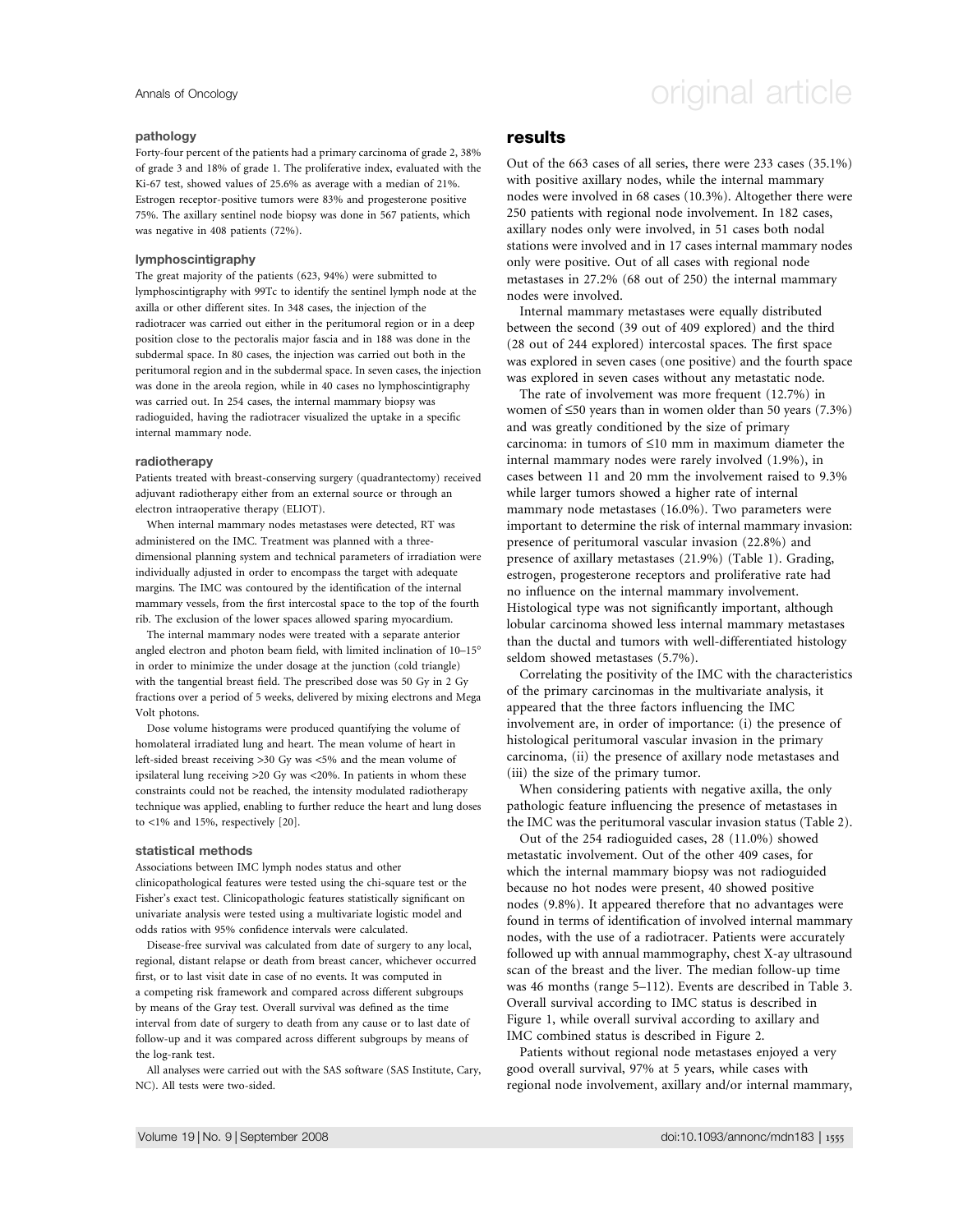#### pathology

Forty-four percent of the patients had a primary carcinoma of grade 2, 38% of grade 3 and 18% of grade 1. The proliferative index, evaluated with the Ki-67 test, showed values of 25.6% as average with a median of 21%. Estrogen receptor-positive tumors were 83% and progesterone positive 75%. The axillary sentinel node biopsy was done in 567 patients, which was negative in 408 patients (72%).

#### lymphoscintigraphy

The great majority of the patients (623, 94%) were submitted to lymphoscintigraphy with 99Tc to identify the sentinel lymph node at the axilla or other different sites. In 348 cases, the injection of the radiotracer was carried out either in the peritumoral region or in a deep position close to the pectoralis major fascia and in 188 was done in the subdermal space. In 80 cases, the injection was carried out both in the peritumoral region and in the subdermal space. In seven cases, the injection was done in the areola region, while in 40 cases no lymphoscintigraphy was carried out. In 254 cases, the internal mammary biopsy was radioguided, having the radiotracer visualized the uptake in a specific internal mammary node.

#### radiotherapy

Patients treated with breast-conserving surgery (quadrantectomy) received adjuvant radiotherapy either from an external source or through an electron intraoperative therapy (ELIOT).

When internal mammary nodes metastases were detected, RT was administered on the IMC. Treatment was planned with a threedimensional planning system and technical parameters of irradiation were individually adjusted in order to encompass the target with adequate margins. The IMC was contoured by the identification of the internal mammary vessels, from the first intercostal space to the top of the fourth rib. The exclusion of the lower spaces allowed sparing myocardium.

The internal mammary nodes were treated with a separate anterior angled electron and photon beam field, with limited inclination of 10–15 in order to minimize the under dosage at the junction (cold triangle) with the tangential breast field. The prescribed dose was 50 Gy in 2 Gy fractions over a period of 5 weeks, delivered by mixing electrons and Mega Volt photons.

Dose volume histograms were produced quantifying the volume of homolateral irradiated lung and heart. The mean volume of heart in left-sided breast receiving >30 Gy was <5% and the mean volume of ipsilateral lung receiving >20 Gy was <20%. In patients in whom these constraints could not be reached, the intensity modulated radiotherapy technique was applied, enabling to further reduce the heart and lung doses to <1% and 15%, respectively [20].

#### statistical methods

Associations between IMC lymph nodes status and other clinicopathological features were tested using the chi-square test or the Fisher's exact test. Clinicopathologic features statistically significant on univariate analysis were tested using a multivariate logistic model and odds ratios with 95% confidence intervals were calculated.

Disease-free survival was calculated from date of surgery to any local, regional, distant relapse or death from breast cancer, whichever occurred first, or to last visit date in case of no events. It was computed in a competing risk framework and compared across different subgroups by means of the Gray test. Overall survival was defined as the time interval from date of surgery to death from any cause or to last date of follow-up and it was compared across different subgroups by means of the log-rank test.

All analyses were carried out with the SAS software (SAS Institute, Cary, NC). All tests were two-sided.

# Annals of Oncology **Annals of Oncology** original article

### results

Out of the 663 cases of all series, there were 233 cases (35.1%) with positive axillary nodes, while the internal mammary nodes were involved in 68 cases (10.3%). Altogether there were 250 patients with regional node involvement. In 182 cases, axillary nodes only were involved, in 51 cases both nodal stations were involved and in 17 cases internal mammary nodes only were positive. Out of all cases with regional node metastases in 27.2% (68 out of 250) the internal mammary nodes were involved.

Internal mammary metastases were equally distributed between the second (39 out of 409 explored) and the third (28 out of 244 explored) intercostal spaces. The first space was explored in seven cases (one positive) and the fourth space was explored in seven cases without any metastatic node.

The rate of involvement was more frequent (12.7%) in women of  $\leq 50$  years than in women older than 50 years (7.3%) and was greatly conditioned by the size of primary carcinoma: in tumors of  $\leq 10$  mm in maximum diameter the internal mammary nodes were rarely involved (1.9%), in cases between 11 and 20 mm the involvement raised to 9.3% while larger tumors showed a higher rate of internal mammary node metastases (16.0%). Two parameters were important to determine the risk of internal mammary invasion: presence of peritumoral vascular invasion (22.8%) and presence of axillary metastases (21.9%) (Table 1). Grading, estrogen, progesterone receptors and proliferative rate had no influence on the internal mammary involvement. Histological type was not significantly important, although lobular carcinoma showed less internal mammary metastases than the ductal and tumors with well-differentiated histology seldom showed metastases (5.7%).

Correlating the positivity of the IMC with the characteristics of the primary carcinomas in the multivariate analysis, it appeared that the three factors influencing the IMC involvement are, in order of importance: (i) the presence of histological peritumoral vascular invasion in the primary carcinoma, (ii) the presence of axillary node metastases and (iii) the size of the primary tumor.

When considering patients with negative axilla, the only pathologic feature influencing the presence of metastases in the IMC was the peritumoral vascular invasion status (Table 2).

Out of the 254 radioguided cases, 28 (11.0%) showed metastatic involvement. Out of the other 409 cases, for which the internal mammary biopsy was not radioguided because no hot nodes were present, 40 showed positive nodes (9.8%). It appeared therefore that no advantages were found in terms of identification of involved internal mammary nodes, with the use of a radiotracer. Patients were accurately followed up with annual mammography, chest X-ay ultrasound scan of the breast and the liver. The median follow-up time was 46 months (range 5–112). Events are described in Table 3. Overall survival according to IMC status is described in Figure 1, while overall survival according to axillary and IMC combined status is described in Figure 2.

Patients without regional node metastases enjoyed a very good overall survival, 97% at 5 years, while cases with regional node involvement, axillary and/or internal mammary,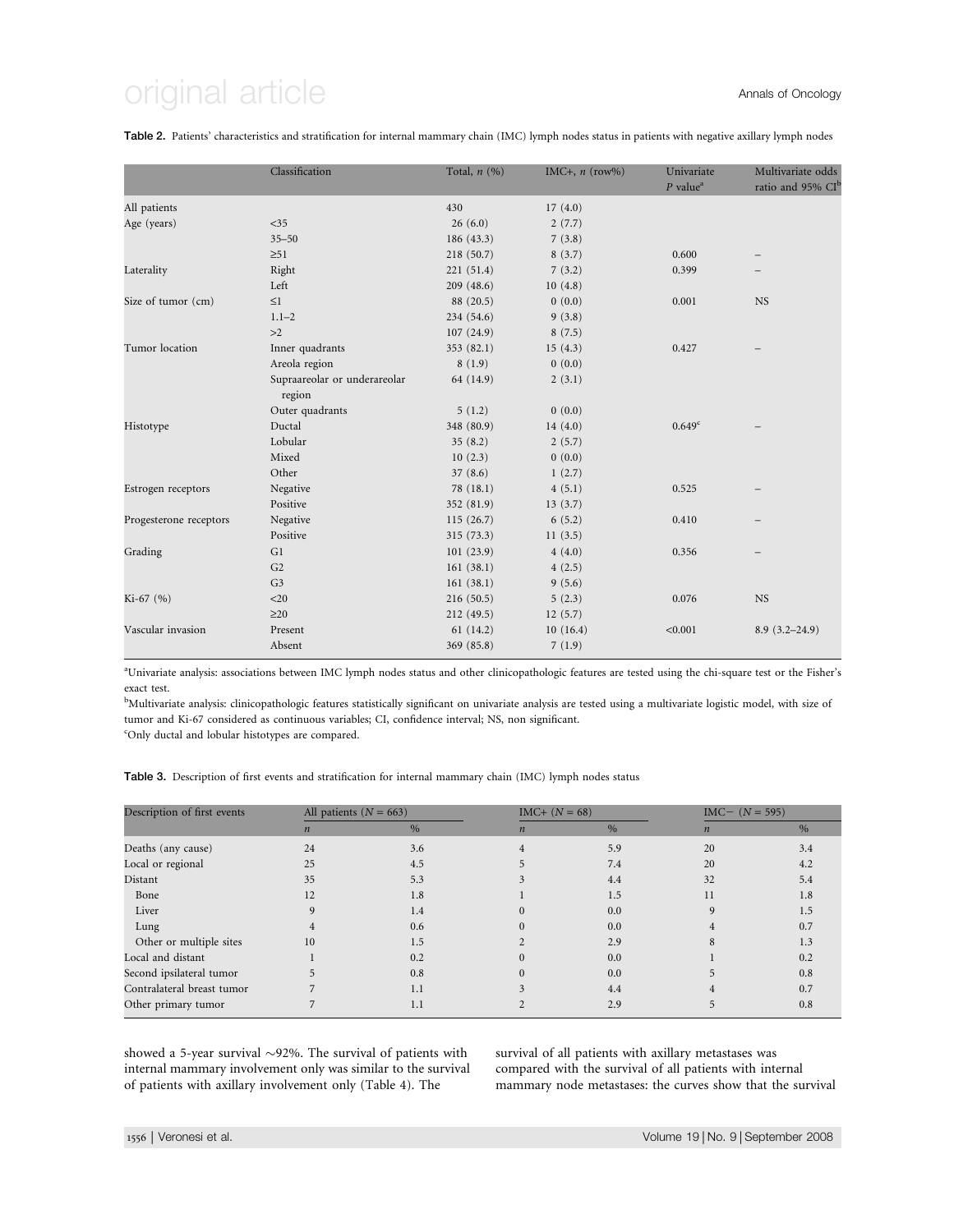# original article **Annals of Oncology**

Table 2. Patients' characteristics and stratification for internal mammary chain (IMC) lymph nodes status in patients with negative axillary lymph nodes

|                        | Classification                         | Total, $n(%)$ | IMC+, $n$ (row%) | Univariate<br>$P$ value <sup>a</sup>                                                 | Multivariate odds<br>ratio and 95% CI <sup>b</sup> |
|------------------------|----------------------------------------|---------------|------------------|--------------------------------------------------------------------------------------|----------------------------------------------------|
| All patients           |                                        | 430           | 17(4.0)          |                                                                                      |                                                    |
| Age (years)            | $<$ 35                                 | 26(6.0)       | 2(7.7)           |                                                                                      |                                                    |
|                        | $35 - 50$                              | 186 (43.3)    | 7(3.8)           |                                                                                      |                                                    |
|                        | $\geq 51$                              | 218 (50.7)    | 8(3.7)           | 0.600                                                                                |                                                    |
| Laterality             | Right                                  | 221 (51.4)    | 7(3.2)           | 0.399                                                                                |                                                    |
|                        | Left                                   | 209(48.6)     | 10(4.8)          |                                                                                      |                                                    |
| Size of tumor (cm)     | $\leq$ 1                               | 88 (20.5)     | 0(0.0)           | 0.001                                                                                | <b>NS</b>                                          |
|                        | $1.1 - 2$                              | 234 (54.6)    | 9(3.8)           | 0.427<br>$0.649^{\circ}$<br>0.525<br>0.410<br>0.356<br>0.076<br><b>NS</b><br>< 0.001 |                                                    |
|                        | >2                                     | 107(24.9)     | 8(7.5)           |                                                                                      |                                                    |
| Tumor location         | Inner quadrants                        | 353 (82.1)    | 15(4.3)          |                                                                                      |                                                    |
|                        | Areola region                          | 8(1.9)        | 0(0.0)           |                                                                                      |                                                    |
|                        | Supraareolar or underareolar<br>region | 64 (14.9)     | 2(3.1)           |                                                                                      |                                                    |
|                        | Outer quadrants                        | 5(1.2)        | 0(0.0)           |                                                                                      |                                                    |
| Histotype              | Ductal                                 | 348 (80.9)    | 14(4.0)          |                                                                                      |                                                    |
|                        | Lobular                                | 35(8.2)       | 2(5.7)           |                                                                                      |                                                    |
|                        | Mixed                                  | 10(2.3)       | 0(0.0)           |                                                                                      |                                                    |
|                        | Other                                  | 37(8.6)       | 1(2.7)           |                                                                                      |                                                    |
| Estrogen receptors     | Negative                               | 78 (18.1)     | 4(5.1)           |                                                                                      |                                                    |
|                        | Positive                               | 352 (81.9)    | 13(3.7)          |                                                                                      |                                                    |
| Progesterone receptors | Negative                               | 115(26.7)     | 6(5.2)           |                                                                                      |                                                    |
|                        | Positive                               | 315 (73.3)    | 11(3.5)          |                                                                                      |                                                    |
| Grading                | G1                                     | 101(23.9)     | 4(4.0)           |                                                                                      |                                                    |
|                        | G2                                     | 161(38.1)     | 4(2.5)           |                                                                                      |                                                    |
|                        | G <sub>3</sub>                         | 161(38.1)     | 9(5.6)           |                                                                                      |                                                    |
| $Ki-67 (%)$            | $<$ 20                                 | 216(50.5)     | 5(2.3)           |                                                                                      |                                                    |
|                        | $\geq$ 20                              | 212 (49.5)    | 12(5.7)          |                                                                                      |                                                    |
| Vascular invasion      | Present                                | 61(14.2)      | 10(16.4)         |                                                                                      | $8.9(3.2 - 24.9)$                                  |
|                        | Absent                                 | 369 (85.8)    | 7(1.9)           |                                                                                      |                                                    |

a Univariate analysis: associations between IMC lymph nodes status and other clinicopathologic features are tested using the chi-square test or the Fisher's exact test.

<sup>b</sup>Multivariate analysis: clinicopathologic features statistically significant on univariate analysis are tested using a multivariate logistic model, with size of tumor and Ki-67 considered as continuous variables; CI, confidence interval; NS, non significant.

c Only ductal and lobular histotypes are compared.

Table 3. Description of first events and stratification for internal mammary chain (IMC) lymph nodes status

| Description of first events | All patients ( $N = 663$ ) |               |                  | $IMC+ (N = 68)$ |                  | $IMC - (N = 595)$ |  |
|-----------------------------|----------------------------|---------------|------------------|-----------------|------------------|-------------------|--|
|                             | $\boldsymbol{n}$           | $\frac{0}{0}$ | $\boldsymbol{n}$ | $\%$            | $\boldsymbol{n}$ | $\%$              |  |
| Deaths (any cause)          | 24                         | 3.6           | 4                | 5.9             | 20               | 3.4               |  |
| Local or regional           | 25                         | 4.5           |                  | 7.4             | 20               | 4.2               |  |
| Distant                     | 35                         | 5.3           |                  | 4.4             | 32               | 5.4               |  |
| Bone                        | 12                         | 1.8           |                  | 1.5             | 11               | 1.8               |  |
| Liver                       |                            | 1.4           |                  | 0.0             |                  | 1.5               |  |
| Lung                        |                            | 0.6           |                  | 0.0             |                  | 0.7               |  |
| Other or multiple sites     | 10                         | 1.5           |                  | 2.9             | 8                | 1.3               |  |
| Local and distant           |                            | 0.2           |                  | 0.0             |                  | 0.2               |  |
| Second ipsilateral tumor    |                            | 0.8           |                  | 0.0             |                  | 0.8               |  |
| Contralateral breast tumor  |                            | 1.1           |                  | 4.4             |                  | 0.7               |  |
| Other primary tumor         |                            | 1.1           |                  | 2.9             |                  | 0.8               |  |

showed a 5-year survival  $\sim$ 92%. The survival of patients with internal mammary involvement only was similar to the survival of patients with axillary involvement only (Table 4). The

survival of all patients with axillary metastases was compared with the survival of all patients with internal mammary node metastases: the curves show that the survival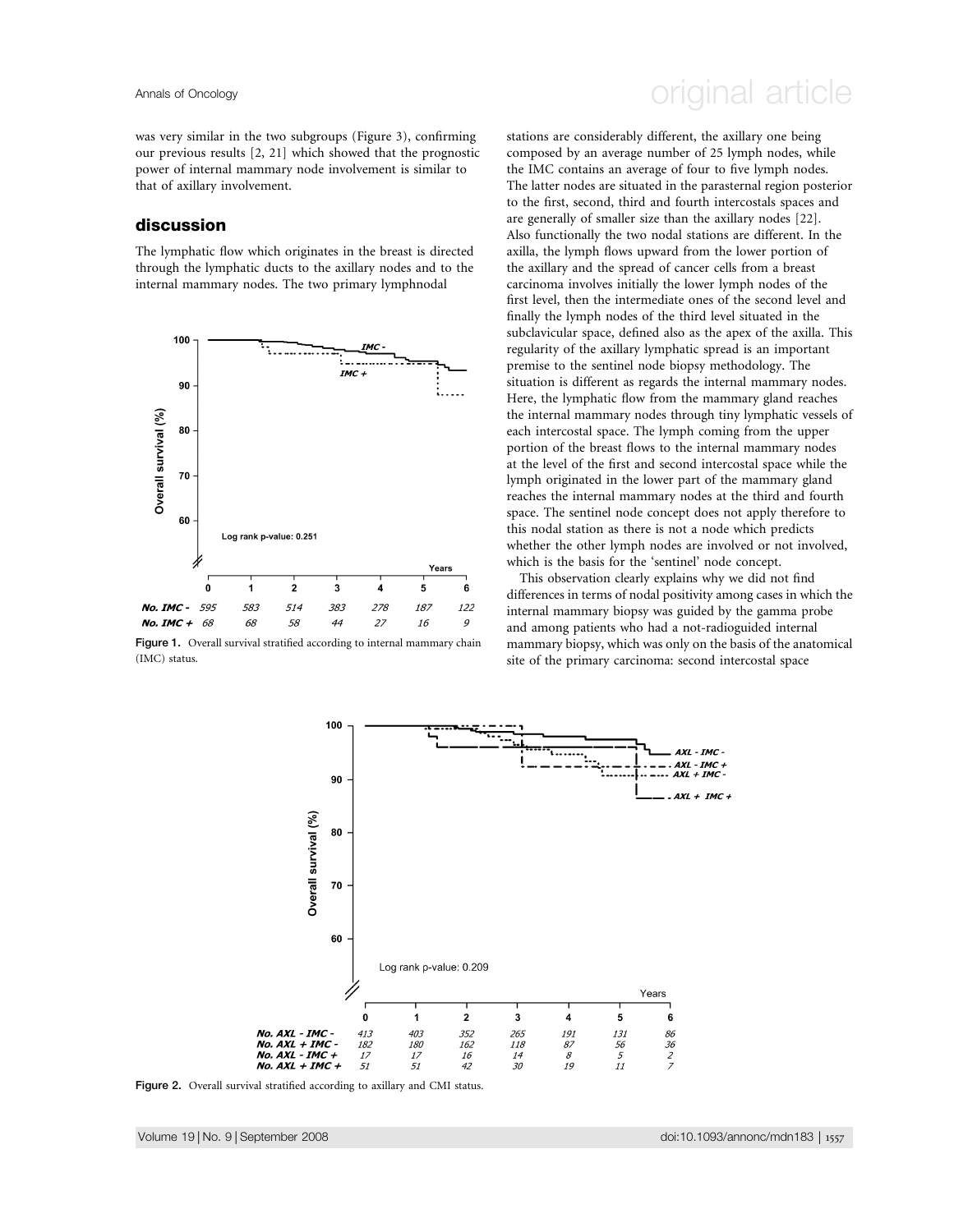was very similar in the two subgroups (Figure 3), confirming our previous results [2, 21] which showed that the prognostic power of internal mammary node involvement is similar to that of axillary involvement.

### discussion

The lymphatic flow which originates in the breast is directed through the lymphatic ducts to the axillary nodes and to the internal mammary nodes. The two primary lymphnodal



Figure 1. Overall survival stratified according to internal mammary chain (IMC) status.

# Annals of Oncology **Annals of Oncology** original article

stations are considerably different, the axillary one being composed by an average number of 25 lymph nodes, while the IMC contains an average of four to five lymph nodes. The latter nodes are situated in the parasternal region posterior to the first, second, third and fourth intercostals spaces and are generally of smaller size than the axillary nodes [22]. Also functionally the two nodal stations are different. In the axilla, the lymph flows upward from the lower portion of the axillary and the spread of cancer cells from a breast carcinoma involves initially the lower lymph nodes of the first level, then the intermediate ones of the second level and finally the lymph nodes of the third level situated in the subclavicular space, defined also as the apex of the axilla. This regularity of the axillary lymphatic spread is an important premise to the sentinel node biopsy methodology. The situation is different as regards the internal mammary nodes. Here, the lymphatic flow from the mammary gland reaches the internal mammary nodes through tiny lymphatic vessels of each intercostal space. The lymph coming from the upper portion of the breast flows to the internal mammary nodes at the level of the first and second intercostal space while the lymph originated in the lower part of the mammary gland reaches the internal mammary nodes at the third and fourth space. The sentinel node concept does not apply therefore to this nodal station as there is not a node which predicts whether the other lymph nodes are involved or not involved, which is the basis for the 'sentinel' node concept.

This observation clearly explains why we did not find differences in terms of nodal positivity among cases in which the internal mammary biopsy was guided by the gamma probe and among patients who had a not-radioguided internal mammary biopsy, which was only on the basis of the anatomical site of the primary carcinoma: second intercostal space



Figure 2. Overall survival stratified according to axillary and CMI status.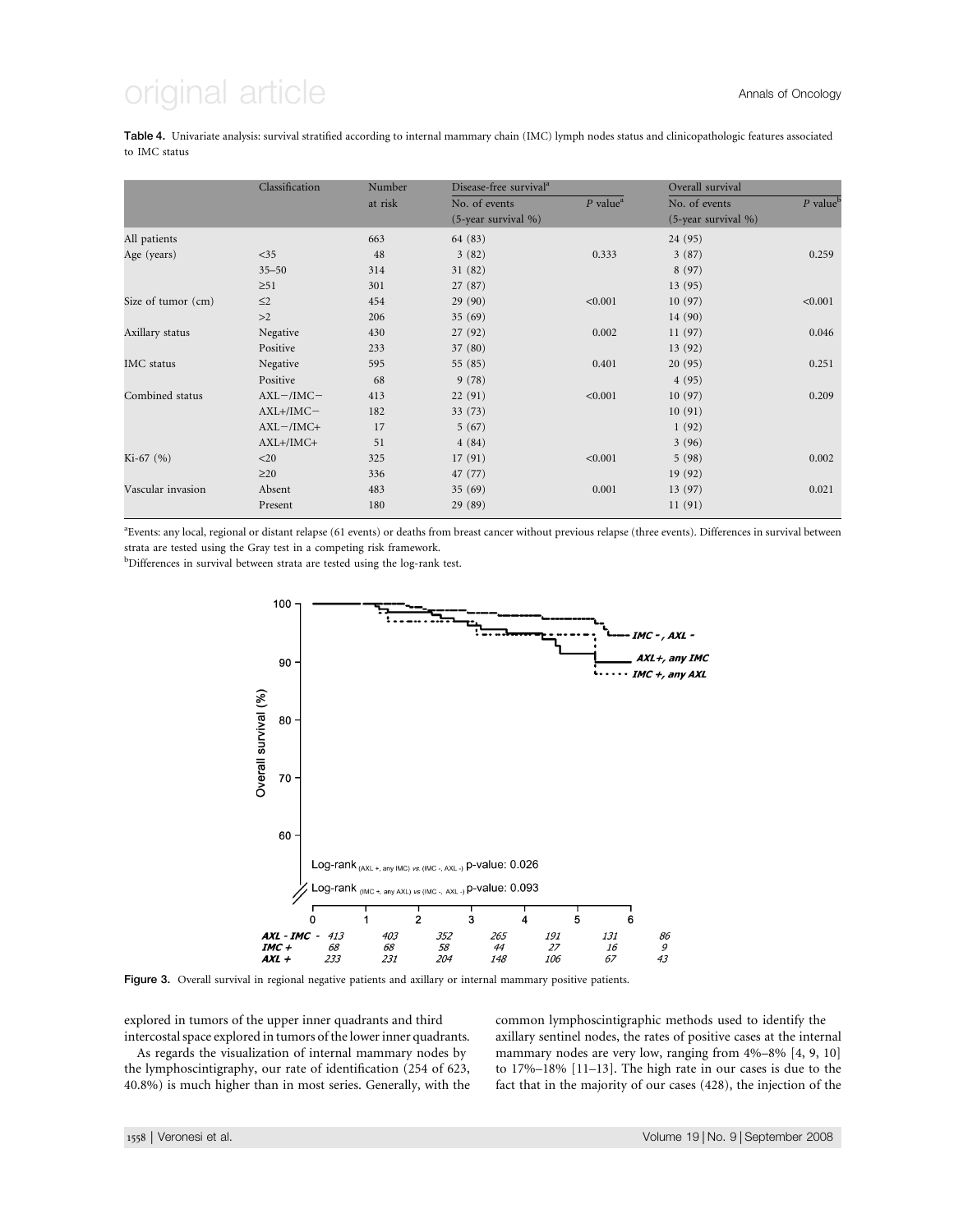# $q$ inal article  $q$

Table 4. Univariate analysis: survival stratified according to internal mammary chain (IMC) lymph nodes status and clinicopathologic features associated to IMC status

|                    | Classification | Number  | Disease-free survival <sup>a</sup> |                        | Overall survival       |                        |
|--------------------|----------------|---------|------------------------------------|------------------------|------------------------|------------------------|
|                    |                | at risk | No. of events                      | $P$ value <sup>a</sup> | No. of events          | $P$ value <sup>b</sup> |
|                    |                |         | $(5$ -year survival %)             |                        | $(5$ -year survival %) |                        |
| All patients       |                | 663     | 64 (83)                            |                        | 24 (95)                |                        |
| Age (years)        | $<$ 35         | 48      | 3(82)                              | 0.333                  | 3(87)                  | 0.259                  |
|                    | $35 - 50$      | 314     | 31(82)                             |                        | 8(97)                  |                        |
|                    | $\geq 51$      | 301     | 27(87)                             |                        | 13(95)                 |                        |
| Size of tumor (cm) | $\leq$ 2       | 454     | 29(90)                             | < 0.001                | 10(97)                 | < 0.001                |
|                    | >2             | 206     | 35(69)                             |                        | 14(90)                 |                        |
| Axillary status    | Negative       | 430     | 27(92)                             | 0.002                  | 11(97)                 | 0.046                  |
|                    | Positive       | 233     | 37 (80)                            |                        | 13 (92)                |                        |
| <b>IMC</b> status  | Negative       | 595     | 55 (85)                            | 0.401                  | 20(95)                 | 0.251                  |
|                    | Positive       | 68      | 9(78)                              |                        | 4(95)                  |                        |
| Combined status    | $AXL$ -/IMC-   | 413     | 22(91)                             | < 0.001                | 10(97)                 | 0.209                  |
|                    | $AXL+/IMC-$    | 182     | 33(73)                             |                        | 10(91)                 |                        |
|                    | $AXL - /IMC +$ | 17      | 5(67)                              |                        | 1(92)                  |                        |
|                    | $AXL+/IMC+$    | 51      | 4(84)                              |                        | 3(96)                  |                        |
| $Ki-67 (%)$        | $<$ 20         | 325     | 17(91)                             | < 0.001                | 5(98)                  | 0.002                  |
|                    | $\geq$ 20      | 336     | 47 (77)                            |                        | 19(92)                 |                        |
| Vascular invasion  | Absent         | 483     | 35(69)                             | 0.001                  | 13(97)                 | 0.021                  |
|                    | Present        | 180     | 29 (89)                            |                        | 11(91)                 |                        |

<sup>a</sup> Events: any local, regional or distant relapse (61 events) or deaths from breast cancer without previous relapse (three events). Differences in survival between strata are tested using the Gray test in a competing risk framework.

<sup>b</sup>Differences in survival between strata are tested using the log-rank test.



Figure 3. Overall survival in regional negative patients and axillary or internal mammary positive patients.

explored in tumors of the upper inner quadrants and third intercostal space explored in tumors of the lower inner quadrants.

As regards the visualization of internal mammary nodes by the lymphoscintigraphy, our rate of identification (254 of 623, 40.8%) is much higher than in most series. Generally, with the common lymphoscintigraphic methods used to identify the axillary sentinel nodes, the rates of positive cases at the internal mammary nodes are very low, ranging from 4%–8% [4, 9, 10] to 17%–18% [11–13]. The high rate in our cases is due to the fact that in the majority of our cases (428), the injection of the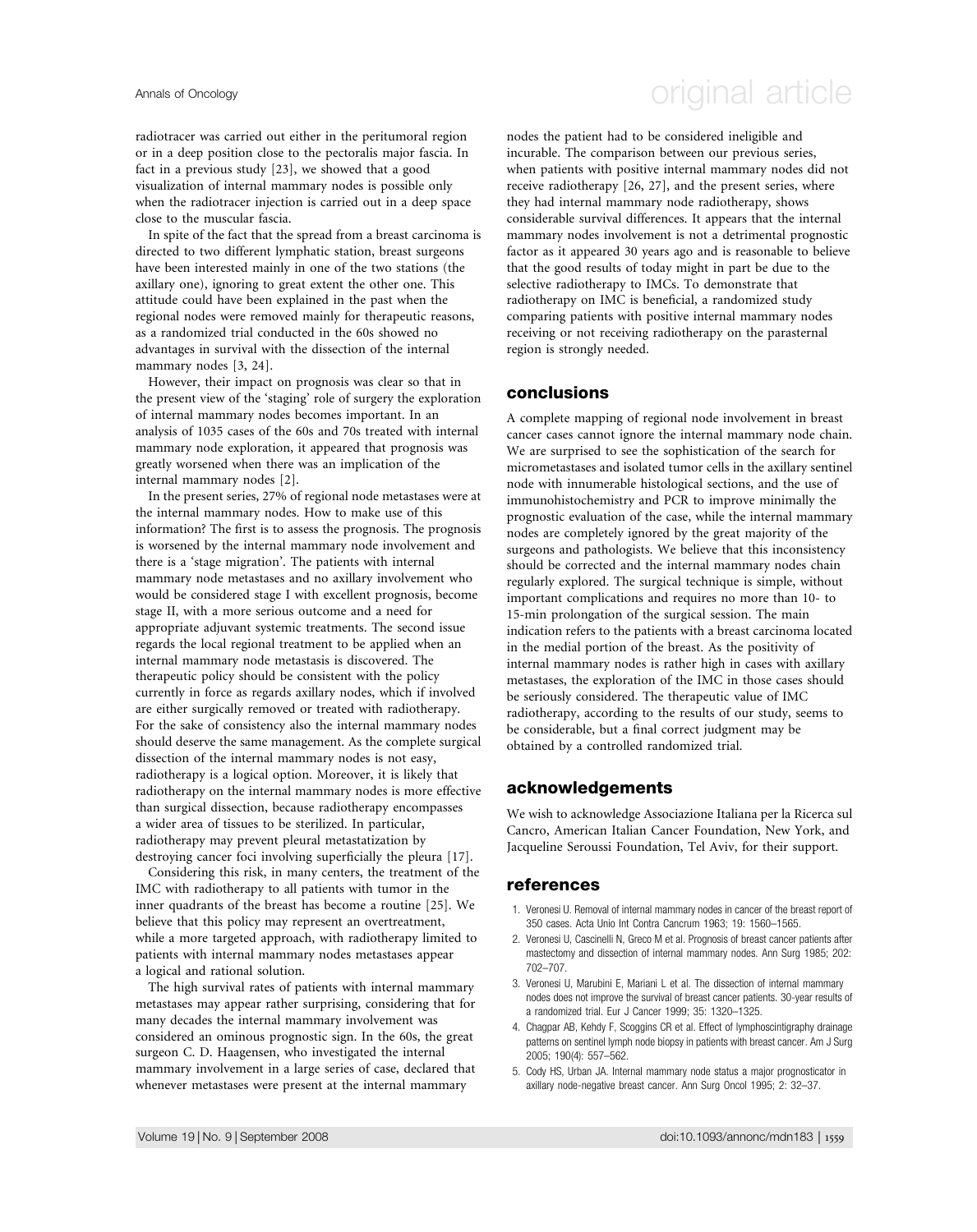radiotracer was carried out either in the peritumoral region or in a deep position close to the pectoralis major fascia. In fact in a previous study [23], we showed that a good visualization of internal mammary nodes is possible only when the radiotracer injection is carried out in a deep space close to the muscular fascia.

In spite of the fact that the spread from a breast carcinoma is directed to two different lymphatic station, breast surgeons have been interested mainly in one of the two stations (the axillary one), ignoring to great extent the other one. This attitude could have been explained in the past when the regional nodes were removed mainly for therapeutic reasons, as a randomized trial conducted in the 60s showed no advantages in survival with the dissection of the internal mammary nodes [3, 24].

However, their impact on prognosis was clear so that in the present view of the 'staging' role of surgery the exploration of internal mammary nodes becomes important. In an analysis of 1035 cases of the 60s and 70s treated with internal mammary node exploration, it appeared that prognosis was greatly worsened when there was an implication of the internal mammary nodes [2].

In the present series, 27% of regional node metastases were at the internal mammary nodes. How to make use of this information? The first is to assess the prognosis. The prognosis is worsened by the internal mammary node involvement and there is a 'stage migration'. The patients with internal mammary node metastases and no axillary involvement who would be considered stage I with excellent prognosis, become stage II, with a more serious outcome and a need for appropriate adjuvant systemic treatments. The second issue regards the local regional treatment to be applied when an internal mammary node metastasis is discovered. The therapeutic policy should be consistent with the policy currently in force as regards axillary nodes, which if involved are either surgically removed or treated with radiotherapy. For the sake of consistency also the internal mammary nodes should deserve the same management. As the complete surgical dissection of the internal mammary nodes is not easy, radiotherapy is a logical option. Moreover, it is likely that radiotherapy on the internal mammary nodes is more effective than surgical dissection, because radiotherapy encompasses a wider area of tissues to be sterilized. In particular, radiotherapy may prevent pleural metastatization by destroying cancer foci involving superficially the pleura [17].

Considering this risk, in many centers, the treatment of the IMC with radiotherapy to all patients with tumor in the inner quadrants of the breast has become a routine [25]. We believe that this policy may represent an overtreatment, while a more targeted approach, with radiotherapy limited to patients with internal mammary nodes metastases appear a logical and rational solution.

The high survival rates of patients with internal mammary metastases may appear rather surprising, considering that for many decades the internal mammary involvement was considered an ominous prognostic sign. In the 60s, the great surgeon C. D. Haagensen, who investigated the internal mammary involvement in a large series of case, declared that whenever metastases were present at the internal mammary

# Annals of Oncology **Annals of Oncology** original article

nodes the patient had to be considered ineligible and incurable. The comparison between our previous series, when patients with positive internal mammary nodes did not receive radiotherapy [26, 27], and the present series, where they had internal mammary node radiotherapy, shows considerable survival differences. It appears that the internal mammary nodes involvement is not a detrimental prognostic factor as it appeared 30 years ago and is reasonable to believe that the good results of today might in part be due to the selective radiotherapy to IMCs. To demonstrate that radiotherapy on IMC is beneficial, a randomized study comparing patients with positive internal mammary nodes receiving or not receiving radiotherapy on the parasternal region is strongly needed.

### conclusions

A complete mapping of regional node involvement in breast cancer cases cannot ignore the internal mammary node chain. We are surprised to see the sophistication of the search for micrometastases and isolated tumor cells in the axillary sentinel node with innumerable histological sections, and the use of immunohistochemistry and PCR to improve minimally the prognostic evaluation of the case, while the internal mammary nodes are completely ignored by the great majority of the surgeons and pathologists. We believe that this inconsistency should be corrected and the internal mammary nodes chain regularly explored. The surgical technique is simple, without important complications and requires no more than 10- to 15-min prolongation of the surgical session. The main indication refers to the patients with a breast carcinoma located in the medial portion of the breast. As the positivity of internal mammary nodes is rather high in cases with axillary metastases, the exploration of the IMC in those cases should be seriously considered. The therapeutic value of IMC radiotherapy, according to the results of our study, seems to be considerable, but a final correct judgment may be obtained by a controlled randomized trial.

### acknowledgements

We wish to acknowledge Associazione Italiana per la Ricerca sul Cancro, American Italian Cancer Foundation, New York, and Jacqueline Seroussi Foundation, Tel Aviv, for their support.

### references

- 1. Veronesi U. Removal of internal mammary nodes in cancer of the breast report of 350 cases. Acta Unio Int Contra Cancrum 1963; 19: 1560–1565.
- 2. Veronesi U, Cascinelli N, Greco M et al. Prognosis of breast cancer patients after mastectomy and dissection of internal mammary nodes. Ann Surg 1985; 202: 702–707.
- 3. Veronesi U, Marubini E, Mariani L et al. The dissection of internal mammary nodes does not improve the survival of breast cancer patients. 30-year results of a randomized trial. Eur J Cancer 1999; 35: 1320–1325.
- 4. Chagpar AB, Kehdy F, Scoggins CR et al. Effect of lymphoscintigraphy drainage patterns on sentinel lymph node biopsy in patients with breast cancer. Am J Surg 2005; 190(4): 557–562.
- 5. Cody HS, Urban JA. Internal mammary node status a major prognosticator in axillary node-negative breast cancer. Ann Surg Oncol 1995; 2: 32–37.